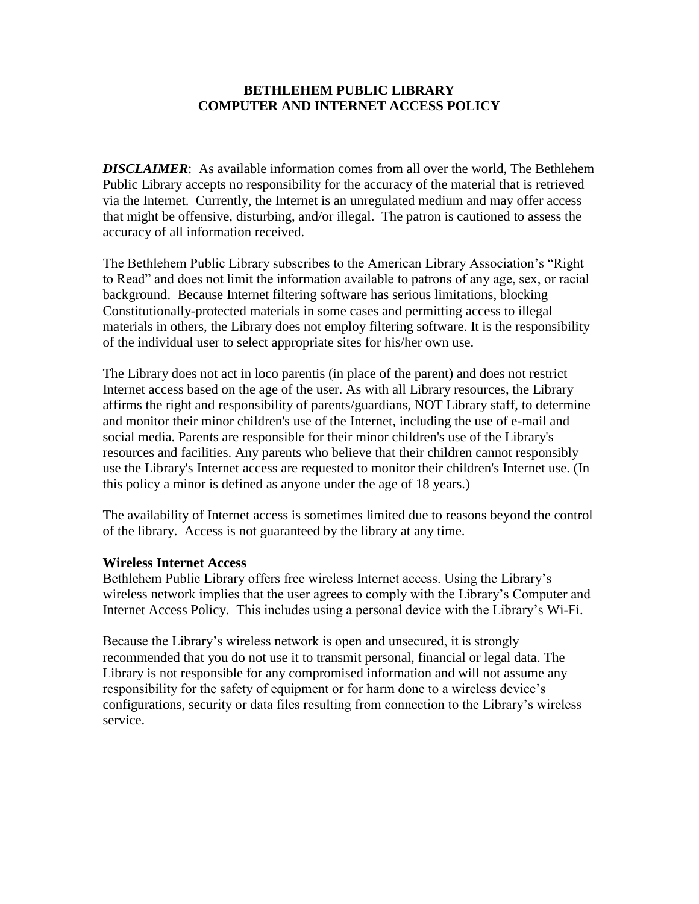## **BETHLEHEM PUBLIC LIBRARY COMPUTER AND INTERNET ACCESS POLICY**

*DISCLAIMER*: As available information comes from all over the world, The Bethlehem Public Library accepts no responsibility for the accuracy of the material that is retrieved via the Internet. Currently, the Internet is an unregulated medium and may offer access that might be offensive, disturbing, and/or illegal. The patron is cautioned to assess the accuracy of all information received.

The Bethlehem Public Library subscribes to the American Library Association's "Right to Read" and does not limit the information available to patrons of any age, sex, or racial background. Because Internet filtering software has serious limitations, blocking Constitutionally-protected materials in some cases and permitting access to illegal materials in others, the Library does not employ filtering software. It is the responsibility of the individual user to select appropriate sites for his/her own use.

The Library does not act in loco parentis (in place of the parent) and does not restrict Internet access based on the age of the user. As with all Library resources, the Library affirms the right and responsibility of parents/guardians, NOT Library staff, to determine and monitor their minor children's use of the Internet, including the use of e-mail and social media. Parents are responsible for their minor children's use of the Library's resources and facilities. Any parents who believe that their children cannot responsibly use the Library's Internet access are requested to monitor their children's Internet use. (In this policy a minor is defined as anyone under the age of 18 years.)

The availability of Internet access is sometimes limited due to reasons beyond the control of the library. Access is not guaranteed by the library at any time.

## **Wireless Internet Access**

Bethlehem Public Library offers free wireless Internet access. Using the Library's wireless network implies that the user agrees to comply with the Library's Computer and Internet Access Policy. This includes using a personal device with the Library's Wi-Fi.

Because the Library's wireless network is open and unsecured, it is strongly recommended that you do not use it to transmit personal, financial or legal data. The Library is not responsible for any compromised information and will not assume any responsibility for the safety of equipment or for harm done to a wireless device's configurations, security or data files resulting from connection to the Library's wireless service.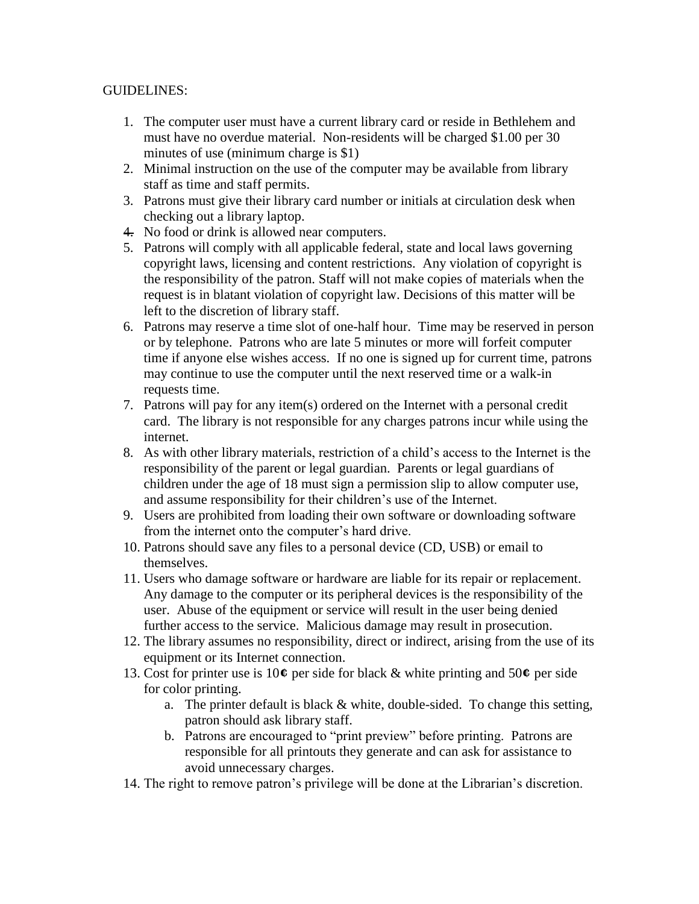## GUIDELINES:

- 1. The computer user must have a current library card or reside in Bethlehem and must have no overdue material. Non-residents will be charged \$1.00 per 30 minutes of use (minimum charge is \$1)
- 2. Minimal instruction on the use of the computer may be available from library staff as time and staff permits.
- 3. Patrons must give their library card number or initials at circulation desk when checking out a library laptop.
- 4. No food or drink is allowed near computers.
- 5. Patrons will comply with all applicable federal, state and local laws governing copyright laws, licensing and content restrictions. Any violation of copyright is the responsibility of the patron. Staff will not make copies of materials when the request is in blatant violation of copyright law. Decisions of this matter will be left to the discretion of library staff.
- 6. Patrons may reserve a time slot of one-half hour. Time may be reserved in person or by telephone. Patrons who are late 5 minutes or more will forfeit computer time if anyone else wishes access. If no one is signed up for current time, patrons may continue to use the computer until the next reserved time or a walk-in requests time.
- 7. Patrons will pay for any item(s) ordered on the Internet with a personal credit card. The library is not responsible for any charges patrons incur while using the internet.
- 8. As with other library materials, restriction of a child's access to the Internet is the responsibility of the parent or legal guardian. Parents or legal guardians of children under the age of 18 must sign a permission slip to allow computer use, and assume responsibility for their children's use of the Internet.
- 9. Users are prohibited from loading their own software or downloading software from the internet onto the computer's hard drive.
- 10. Patrons should save any files to a personal device (CD, USB) or email to themselves.
- 11. Users who damage software or hardware are liable for its repair or replacement. Any damage to the computer or its peripheral devices is the responsibility of the user. Abuse of the equipment or service will result in the user being denied further access to the service. Malicious damage may result in prosecution.
- 12. The library assumes no responsibility, direct or indirect, arising from the use of its equipment or its Internet connection.
- 13. Cost for printer use is 10**¢** per side for black & white printing and 50**¢** per side for color printing.
	- a. The printer default is black  $&$  white, double-sided. To change this setting, patron should ask library staff.
	- b. Patrons are encouraged to "print preview" before printing. Patrons are responsible for all printouts they generate and can ask for assistance to avoid unnecessary charges.
- 14. The right to remove patron's privilege will be done at the Librarian's discretion.